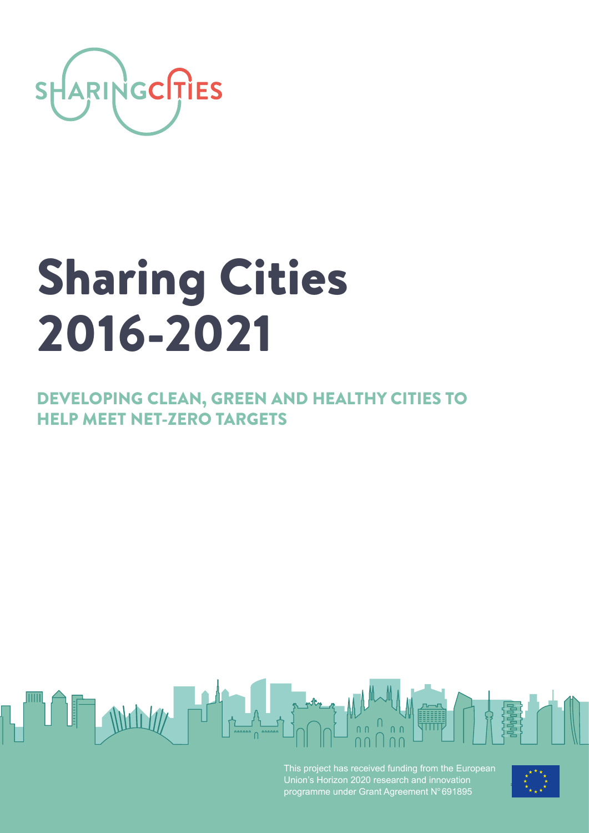

# Sharing Cities 2016-2021

DEVELOPING CLEAN, GREEN AND HEALTHY CITIES TO HELP MEET NET-ZERO TARGETS



This project has received funding from the European Union's Horizon 2020 research and innovation programme under Grant Agreement N°691895

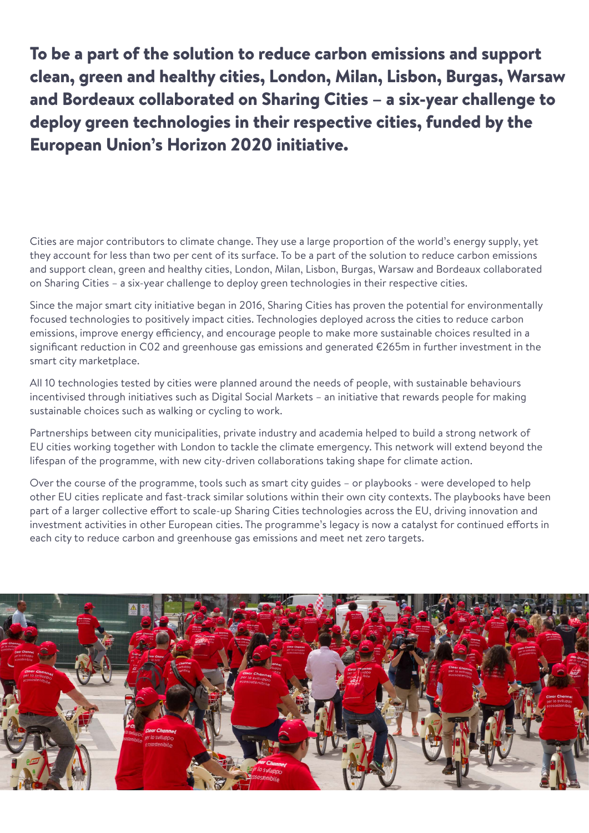To be a part of the solution to reduce carbon emissions and support clean, green and healthy cities, London, Milan, Lisbon, Burgas, Warsaw and Bordeaux collaborated on Sharing Cities – a six-year challenge to deploy green technologies in their respective cities, funded by the European Union's Horizon 2020 initiative.

Cities are major contributors to climate change. They use a large proportion of the world's energy supply, yet they account for less than two per cent of its surface. To be a part of the solution to reduce carbon emissions and support clean, green and healthy cities, London, Milan, Lisbon, Burgas, Warsaw and Bordeaux collaborated on Sharing Cities – a six-year challenge to deploy green technologies in their respective cities.

Since the major smart city initiative began in 2016, Sharing Cities has proven the potential for environmentally focused technologies to positively impact cities. Technologies deployed across the cities to reduce carbon emissions, improve energy efficiency, and encourage people to make more sustainable choices resulted in a significant reduction in C02 and greenhouse gas emissions and generated €265m in further investment in the smart city marketplace.

All 10 technologies tested by cities were planned around the needs of people, with sustainable behaviours incentivised through initiatives such as Digital Social Markets – an initiative that rewards people for making sustainable choices such as walking or cycling to work.

Partnerships between city municipalities, private industry and academia helped to build a strong network of EU cities working together with London to tackle the climate emergency. This network will extend beyond the lifespan of the programme, with new city-driven collaborations taking shape for climate action.

Over the course of the programme, tools such as smart city guides – or playbooks - were developed to help other EU cities replicate and fast-track similar solutions within their own city contexts. The playbooks have been part of a larger collective effort to scale-up Sharing Cities technologies across the EU, driving innovation and investment activities in other European cities. The programme's legacy is now a catalyst for continued efforts in each city to reduce carbon and greenhouse gas emissions and meet net zero targets.

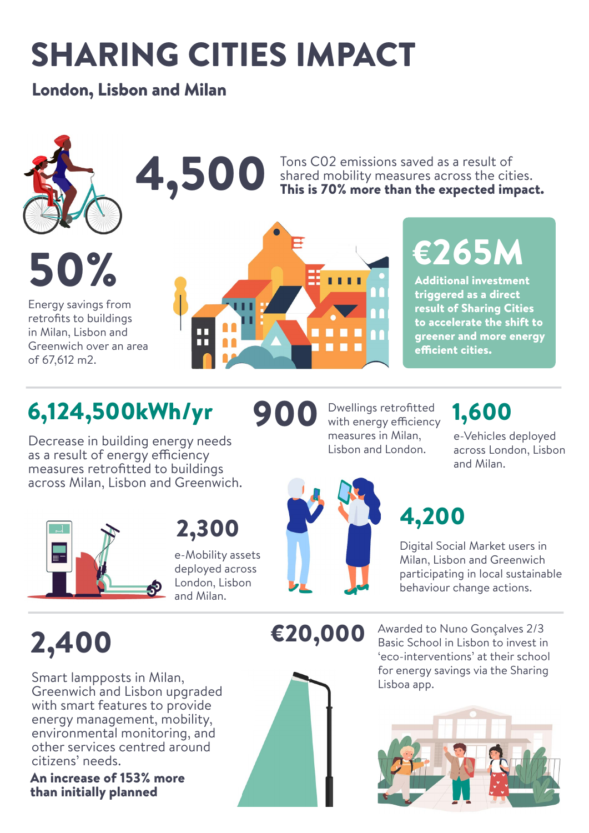## SHARING CITIES IMPACT

#### London, Lisbon and Milan



50%

Energy savings from retrofits to buildings in Milan, Lisbon and Greenwich over an area of 67,612 m2.

### 4,500 Tons CO2 emissions saved as a result of<br>This is 70% more than the expected im shared mobility measures across the cities.

3, 1, 1, 1

900

## €265M This is 70% more than the expected impact.

Additional investment triggered as a direct result of Sharing Cities to accelerate the shift to greener and more energy efficient cities.

### 6,124,500kWh/yr

Decrease in building energy needs as a result of energy efficiency measures retrofitted to buildings across Milan, Lisbon and Greenwich.



2,300

e-Mobility assets deployed across London, Lisbon and Milan.



Dwellings retrofitted with energy efficiency measures in Milan, Lisbon and London.

### 1,600

e-Vehicles deployed across London, Lisbon and Milan.

### 4,200

Digital Social Market users in Milan, Lisbon and Greenwich participating in local sustainable behaviour change actions.

### 2,400

Smart lampposts in Milan, Greenwich and Lisbon upgraded with smart features to provide energy management, mobility, environmental monitoring, and other services centred around citizens' needs.

An increase of 153% more than initially planned



€20,000 Awarded to Nuno Gonçalves 2/3 Basic School in Lisbon to invest in 'eco-interventions' at their school for energy savings via the Sharing Lisboa app.

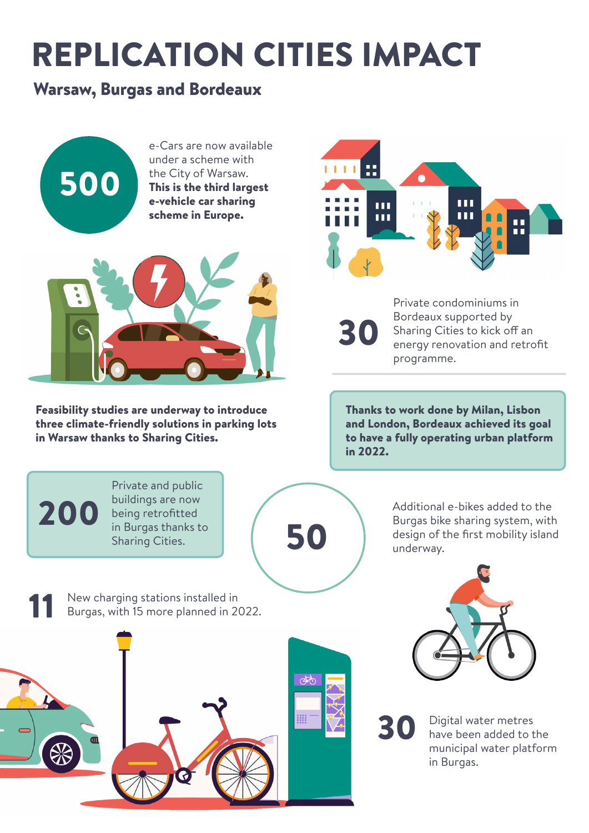## REPLICATION CITIES IMPACT

#### Warsaw, Burgas and Bordeaux

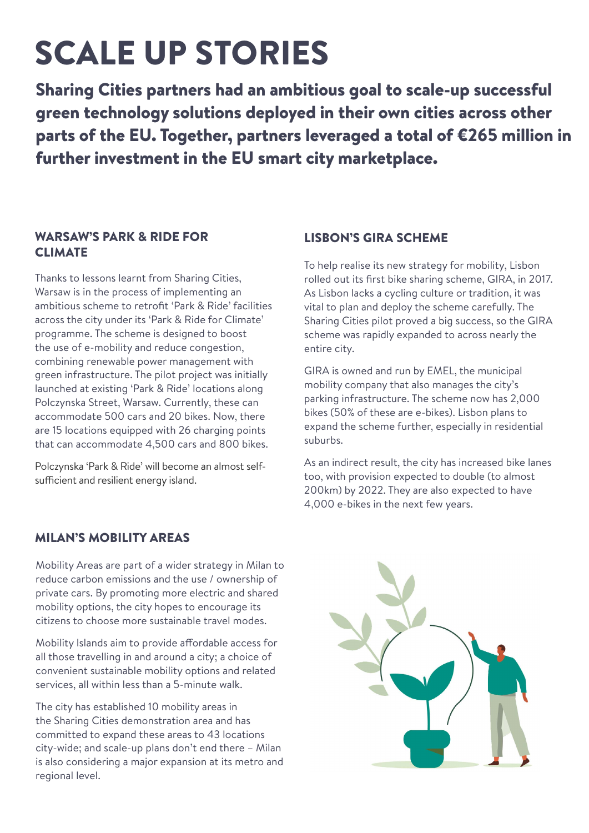## SCALE UP STORIES

Sharing Cities partners had an ambitious goal to scale-up successful green technology solutions deployed in their own cities across other parts of the EU. Together, partners leveraged a total of €265 million in further investment in the EU smart city marketplace.

#### WARSAW'S PARK & RIDE FOR **CLIMATE**

Thanks to lessons learnt from Sharing Cities, Warsaw is in the process of implementing an ambitious scheme to retrofit 'Park & Ride' facilities across the city under its 'Park & Ride for Climate' programme. The scheme is designed to boost the use of e-mobility and reduce congestion, combining renewable power management with green infrastructure. The pilot project was initially launched at existing 'Park & Ride' locations along Polczynska Street, Warsaw. Currently, these can accommodate 500 cars and 20 bikes. Now, there are 15 locations equipped with 26 charging points that can accommodate 4,500 cars and 800 bikes.

Polczynska 'Park & Ride' will become an almost selfsufficient and resilient energy island.

#### LISBON'S GIRA SCHEME

To help realise its new strategy for mobility, Lisbon rolled out its first bike sharing scheme, GIRA, in 2017. As Lisbon lacks a cycling culture or tradition, it was vital to plan and deploy the scheme carefully. The Sharing Cities pilot proved a big success, so the GIRA scheme was rapidly expanded to across nearly the entire city.

GIRA is owned and run by EMEL, the municipal mobility company that also manages the city's parking infrastructure. The scheme now has 2,000 bikes (50% of these are e-bikes). Lisbon plans to expand the scheme further, especially in residential suburbs.

As an indirect result, the city has increased bike lanes too, with provision expected to double (to almost 200km) by 2022. They are also expected to have 4,000 e-bikes in the next few years.

#### MILAN'S MOBILITY AREAS

Mobility Areas are part of a wider strategy in Milan to reduce carbon emissions and the use / ownership of private cars. By promoting more electric and shared mobility options, the city hopes to encourage its citizens to choose more sustainable travel modes.

Mobility Islands aim to provide affordable access for all those travelling in and around a city; a choice of convenient sustainable mobility options and related services, all within less than a 5-minute walk.

The city has established 10 mobility areas in the Sharing Cities demonstration area and has committed to expand these areas to 43 locations city-wide; and scale-up plans don't end there – Milan is also considering a major expansion at its metro and regional level.